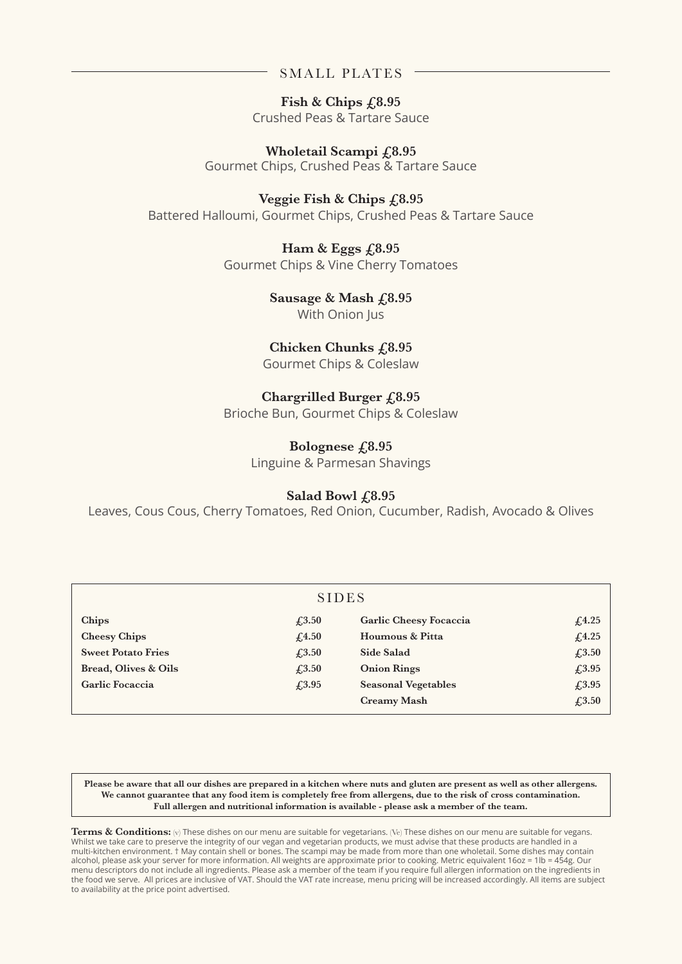## SMALL PLATES

Fish & Chips  $\text{\textsterling}8.95$ Crushed Peas & Tartare Sauce

**Wholetail Scampi £8.95** Gourmet Chips, Crushed Peas & Tartare Sauce

**Veggie Fish & Chips £8.95** Battered Halloumi, Gourmet Chips, Crushed Peas & Tartare Sauce

> Ham & Eggs  $f$ <sub>,8.95</sub> Gourmet Chips & Vine Cherry Tomatoes

> > Sausage & Mash  $\text{\textsterling}8.95$ With Onion Jus

Chicken Chunks  $f$ <sub>,8</sub>.95

Gourmet Chips & Coleslaw

# **Chargrilled Burger £8.95**

Brioche Bun, Gourmet Chips & Coleslaw

## **Bolognese £8.95**

Linguine & Parmesan Shavings

## **Salad Bowl £8.95**

Leaves, Cous Cous, Cherry Tomatoes, Red Onion, Cucumber, Radish, Avocado & Olives

| <b>SIDES</b>                    |                                 |                            |                                                |
|---------------------------------|---------------------------------|----------------------------|------------------------------------------------|
| Chips                           | $\textcolor{blue}{\pounds}3.50$ | Garlic Cheesy Focaccia     | f(4.25)                                        |
| <b>Cheesy Chips</b>             | f <sub>4.50</sub>               | Houmous & Pitta            | f <sub>4.25</sub>                              |
| <b>Sweet Potato Fries</b>       | $\textcolor{blue}{\pounds}3.50$ | Side Salad                 | $\textcolor{blue}{\pounds}3.50$                |
| <b>Bread, Olives &amp; Oils</b> | $\textcolor{blue}{\pounds}3.50$ | <b>Onion Rings</b>         | £3.95                                          |
| Garlic Focaccia                 | $\sqrt{.3.95}$                  | <b>Seasonal Vegetables</b> | £3.95                                          |
|                                 |                                 | <b>Creamy Mash</b>         | $\textcolor{blue}{\textbf{\textsterling}}3.50$ |

**Please be aware that all our dishes are prepared in a kitchen where nuts and gluten are present as well as other allergens. We cannot guarantee that any food item is completely free from allergens, due to the risk of cross contamination. Full allergen and nutritional information is available - please ask a member of the team.**

Terms & Conditions: (v) These dishes on our menu are suitable for vegetarians. (Ve) These dishes on our menu are suitable for vegans. Whilst we take care to preserve the integrity of our vegan and vegetarian products, we must advise that these products are handled in a multi-kitchen environment. † May contain shell or bones. The scampi may be made from more than one wholetail. Some dishes may contain alcohol, please ask your server for more information. All weights are approximate prior to cooking. Metric equivalent 16oz = 1lb = 454g. Our menu descriptors do not include all ingredients. Please ask a member of the team if you require full allergen information on the ingredients in the food we serve. All prices are inclusive of VAT. Should the VAT rate increase, menu pricing will be increased accordingly. All items are subject to availability at the price point advertised.